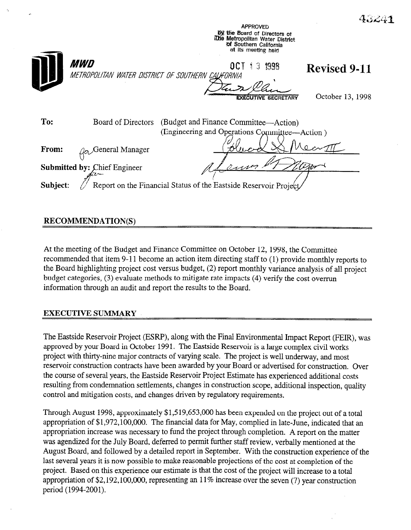

## RECOMMENDATION(S)

At the meeting of the Budget and Finance Committee on October 12, 1998, the Committee recommended that item 9-11 become an action item directing staff to (1) provide monthly reports to the Board highlighting project cost versus budget, (2) report monthly variance analysis of all project budget categories, (3) evaluate methods to mitigate rate impacts (4) verify the cost overrun information through an audit and report the results to the Board.

## EXECUTIVE SUMMARY

The Eastside Reservoir Project (ESRP), along with the Final Environmental Impact Report (FEIR), was approved by your Board in October 1991. The Eastside Reservoir is a large complex civil works project with thirty-nine major contracts of varying scale. The project is well underway, and most reservoir construction contracts have been awarded by your Board or advertised for construction. Over the course of several years, the Eastside Reservoir Project Estimate has experienced additional costs resulting from condemnation settlements, changes in construction scope, additional inspection, quality control and mitigation costs, and changes driven by regulatory requirements.

Through August 1998, approximately \$1,5 19,653,OOO has been expended on the project out of a total appropriation of \$1,972,100,000. The financial data for May, complied in late-June, indicated that an appropriation increase was necessary to fund the project through completion. A report on the matter was agendized for the July Board, deferred to permit further staff review, verbally mentioned at the August Board, and followed by a detailed report in September. With the construction experience of the last several years it is now possible to make reasonable projections of the cost at completion of the project. Based on this experience our estimate is that the cost of the project will increase to a total appropriation of \$2,192,100,000, representing an 11% increase over the seven (7) year construction period (1994-2001).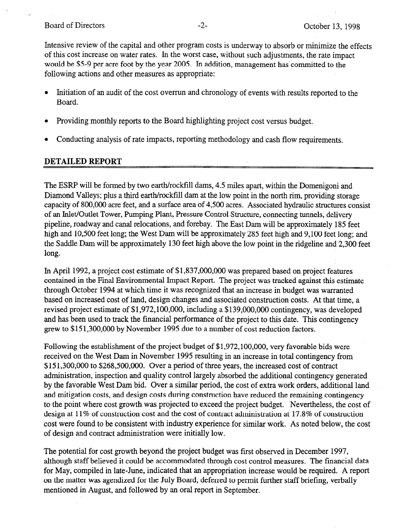Intensive review of the capital and other program costs is underway to absorb or minimize the effects of this cost increase on water rates. In the worst case, without such adjustments, the'rate impact would be \$5-9 per acre foot by the year 2005. Jn addition, management has committed to the following actions and other measures as appropriate:

- Initiation of an audit of the cost overrun and chronology of events with results reported to the Board.
- <sup>l</sup>Providing monthly reports to the Board highlighting project cost versus budget.
- Conducting analysis of rate impacts, reporting methodology and cash flow requirements.

## DETAILED REPORT

The ESRP will be formed by two earth/rockfill dams, 4.5 miles apart, within the Domenigoni and Diamond Valleys; plus a third earth/rockfill dam at the low point in the north rim, providing storage capacity of 800,000 acre feet, and a surface area of 4,500 acres. Associated hydraulic structures consist of an Inlet/Outlet Tower, Pumping Plant, Pressure Control Structure, connecting tunnels, delivery pipeline, roadway and canal relocations, and forebay. The East Dam will be approximately 185 feet high and 10,500 feet long; the West Dam will be approximately 285 feet high and 9,100 feet long; and the Saddle Dam will be approximately 130 feet high above the low point in the ridgeline and 2,300 feet long.

In April 1992, a project cost estimate of \$1,837,000,000 was prepared based on project features contained in the Final Environmental Impact Report. The project was tracked against this estimate through October 1994 at which time it was recognized that an increase in budget was warranted based on increased cost of land, design changes and associated construction costs. At that time, a revised project estimate of \$1,972,100,000, including a \$139,000,000 contingency, was developed and has been used to track the financial performance of the project to this date. This contingency grew to \$15 1,300,OOO by November 1995 due to a number of cost reduction factors.

Following the establishment of the project budget of \$1,972,100,000, very favorable bids were received on the West Dam in November 1995 resulting in an increase in total contingency from \$15 1,300,OOO to \$268,500,000. Over a period of three years, the increased cost of contract administration, inspection and quality control largely absorbed the additional contingency generated by the favorable West Dam bid. Over a similar period, the cost of extra work orders, additional land and mitigation costs, and design costs during construction have reduced the remaining contingency to the point where cost growth was projected to exceed the project budget. Nevertheless, the cost of design at 11% of construction cost and the cost of contract administration at 17.8% of construction cost were found to be consistent with industry experience for similar work. As noted below, the cost of design and contract administration were initially low.

The potential for cost growth beyond the project budget was first observed in December 1997, although staff believed it could be accommodated through cost control measures. The financial data for May, compiled in late-June, indicated that an appropriation increase would be required. A report on the matter was agendized for the July Board, deferred to permit further staff briefing, verbally mentioned in August, and followed by an oral report in September.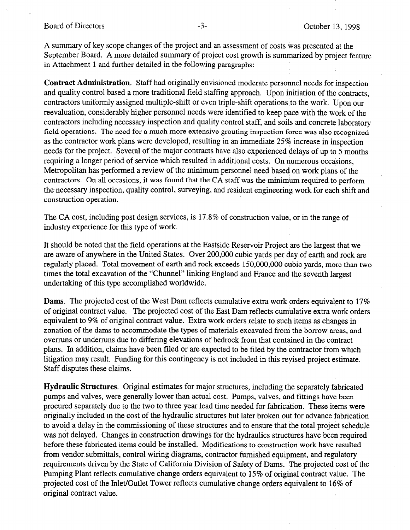A summary of key scope changes of the project and an assessment of costs was presented at the September Board. A more detailed summary of project cost growth is summarized by project feature in Attachment 1 and further detailed in the following paragraphs:

Contract Administration. Staff had originally envisioned moderate personnel needs for inspection and quality control based a more traditional field staffing approach. Upon initiation of the contracts, contractors uniformly assigned multiple-shift or even triple-shift operations to the work. Upon our reevaluation, considerably higher personnel needs were identified to keep pace with the work of the contractors including necessary inspection and quality control staff, and soils and concrete laboratory field operations. The need for a much more extensive grouting inspection force was also recognized as the contractor work plans were developed, resulting in an immediate 25% increase in inspection needs for the project. Several of the major contracts have also experienced delays of up to 5 months requiring a longer period of service which resulted in additional costs. On numerous occasions, Metropolitan has performed a review of the minimum personnel need based on work plans of the contractors. On all occasions, it was found that the CA staff was the minimum required to perform the necessary inspection, quality control, surveying, and resident engineering work for each shift and construction operation.

The CA cost, including post design services, is 17.8% of construction value, or in the range of industry experience for this type of work.

It should be noted that the field operations at the Eastside Reservoir Project are the largest that we are aware of anywhere in the United States. Over 200,000 cubic yards per day of earth and rock are regularly placed. Total movement of earth and rock exceeds 150,000,000 cubic yards, more than two times the total excavation of the "Chunnel" linking England and France and the seventh largest undertaking of this type accomplished worldwide.

Dams. The projected cost of the West Dam reflects cumulative extra work orders equivalent to 17% of original contract value. The projected cost of the East Dam reflects cumulative extra work orders equivalent to 9% of original contract value. Extra work orders relate to such items as changes in zonation of the dams to accommodate the types of materials excavated from the borrow areas, and overruns or underruns due to differing elevations of bedrock from that contained in the contract plans. In addition, claims have been filed or are expected to be filed by the contractor from which litigation may result. Funding for this contingency is not included in this revised project estimate. Staff disputes these claims.

Hydraulic Structures. Original estimates for major structures, including the separately fabricated pumps and valves, were generally lower than actual cost. Pumps, valves, and fittings have been procured separately due to the two to three year lead time needed for fabrication. These items were originally included in the cost of the hydraulic structures but later broken out for advance fabrication to avoid a delay in the commissioning of these structures and to ensure that the total project schedule was not delayed. Changes in construction drawings for the hydraulics structures have been required before these fabricated items could be installed. Modifications to construction work have resulted from vendor submittals, control wiring diagrams, contractor furnished equipment, and regulatory requirements driven by the State of California Division of Safety of Dams. The projected cost of the Pumping Plant reflects cumulative change orders equivalent to 15% of original contract value. The projected cost of the Inlet/Outlet Tower reflects cumulative change orders equivalent to 16% of original contract value.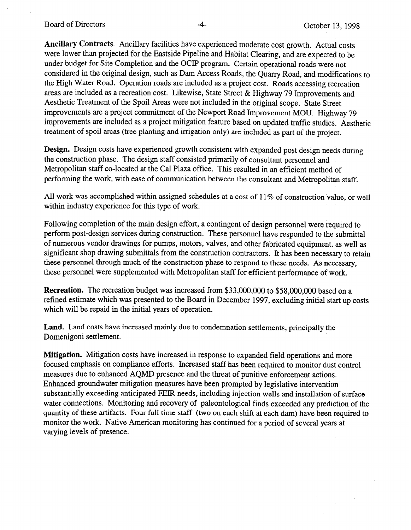Board of Directors -4- October 13, 1998

Ancillary Contracts. Ancillary facilities have experienced moderate cost growth. Actual costs were lower than projected for the Eastside Pipeline and Habitat Clearing, and are expected to be under budget for Site Completion and the OCIP program. Certain operational roads were not considered in the original design, such as Dam Access Roads, the Quarry Road, and'modifications to the High Water Road. Operation roads are included as a project cost. Roads accessing recreation areas are included as a recreation cost. Likewise, State Street & Highway 79 Improvements and Aesthetic Treatment of the Spoil Areas were not included in the original scope. State Street improvements are a project commitment of the Newport Road Improvement MOU. Highway 79 improvements are included as a project mitigation feature based on updated traffic studies. Aesthetic treatment of spoil areas (tree planting and irrigation only) are included as part of the project.

Design. Design costs have experienced growth consistent with expanded post design needs during the construction phase. The design staff consisted primarily of consultant personnel and Metropolitan staff co-located at the Cal Plaza office. This resulted in an efficient method of performing the work, with ease of communication between the consultant and Metropolitan staff.

All work was accomplished within assigned schedules at a cost of 11% of construction value, or well within industry experience for this type of work.

Following completion of the main design effort, a contingent of design personnel were required to perform post-design services during construction. These personnel have responded to the submittal of numerous vendor drawings for pumps, motors, valves, and other fabricated equipment, as well as significant shop drawing submittals from the construction contractors. It has been necessary to retain these personnel through much of the construction phase to respond to these needs. As necessary, these personnel were supplemented with Metropolitan staff for efficient performance of work.

Recreation. The recreation budget was increased from \$33,000,000 to \$58,000,000 based on a refined estimate which was presented to the Board in December 1997, excluding initial start up costs which will be repaid in the initial years of operation.

Land. Land costs have increased mainly due to condemnation settlements, principally the Domenigoni settlement.

Mitigation. Mitigation costs have increased in response to expanded field operations and more focused emphasis on compliance efforts. Increased staff has been required to monitor dust control measures due to enhanced AQMD presence and the threat of punitive enforcement actions. Enhanced groundwater mitigation measures have been prompted by legislative intervention substantially exceeding anticipated FEIR needs, including injection wells and installation of surface water connections. Monitoring and recovery of paleontological finds exceeded any prediction of the quantity of these artifacts. Four full time staff (two on each shift at each dam) have been required to monitor the work. Native American monitoring has continued for a period of several years at varying levels of presence.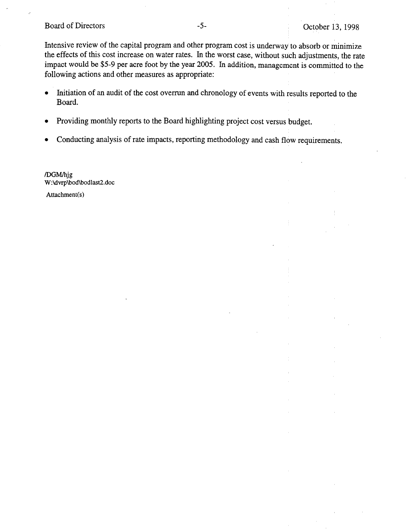Board of Directors -5- Corober 13, 1998

Intensive review of the capital program and other program cost is underway to absorb or minimize the effects of this cost increase on water rates. In the worst case, without such adjustments, the rate impact would be \$5-9 per acre foot by the year 2005. In addition, management is committed to the following actions and other measures as appropriate:

- Initiation of an audit of the cost overrun and chronology of events with results reported to the Board.
- Providing monthly reports to the Board highlighting project cost versus budget.
- Conducting analysis of rate impacts, reporting methodology and cash flow requirements.

/DGM/hjg W:\dvrp\bod\bodlast2.doc Attachment(s)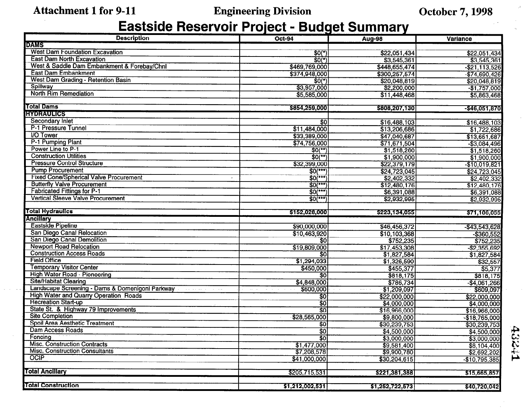## Attachment 1 for 9-11 Engineering Division Cotober 7, 1998

# **Eastside Reservoir Project - Budget Summary**

| <b>Description</b>                                                          | <b>Oct-94</b>                        | <b>Aug-98</b>                        | Variance         |
|-----------------------------------------------------------------------------|--------------------------------------|--------------------------------------|------------------|
| <b>DAMS</b>                                                                 |                                      |                                      |                  |
| <b>West Dam Foundation Excavation</b>                                       | $$0(*)$                              | \$22,051,434                         | \$22,051,434     |
| <b>East Dam North Excavation</b>                                            | $$0(*)$                              | \$3,545,361                          | \$3,545,361      |
| West & Saddle Dam Embankment & Forebay/Chnl                                 | \$469,769,000                        | \$448,655,474                        | $-$ \$21,113,526 |
| <b>East Dam Embankment</b>                                                  | \$374,948,000                        | \$300,257,574                        | $-$ \$74,690,426 |
| West Dam Grading - Retention Basin                                          | $$0(*)$                              | \$20,048,819                         | \$20,048,819     |
| Spillway                                                                    | \$3,957,000                          | \$2,200,000                          | $-$1,757,000]$   |
| <b>North Rim Remediation</b>                                                | \$5,585,000                          | \$11,448,468                         | \$5,863,468      |
|                                                                             |                                      |                                      |                  |
| <b>Total Dams</b>                                                           | \$854,259,000                        | \$808,207,130                        | $-$ \$46,051,870 |
| <b>HYDRAULICS</b>                                                           |                                      |                                      |                  |
| <b>Secondary Inlet</b>                                                      | \$0                                  | \$16,488,103                         | \$16,488,103     |
| P-1 Pressure Tunnel                                                         | \$11,484,000                         | \$13,206,686                         | \$1,722,686      |
| <b>I/O Tower</b>                                                            | \$33,389,000                         | \$47,040,687                         | \$13,651,687     |
| P-1 Pumping Plant                                                           | \$74,756,000                         | \$71,671,504                         | $-$ \$3,084,496  |
| Power Line to P-1                                                           | $$0$ <sup>(**)</sup>                 | \$1,518,260                          | \$1,518,260      |
| <b>Construction Utilities</b>                                               | $50$ <sup>(**)</sup>                 | \$1,900,000                          | \$1,900,000      |
| <b>Pressure Control Structure</b>                                           | \$32,399,000                         | \$22,379,179                         | $-$10,019,821$   |
| <b>Pump Procurement</b>                                                     | $SO(**)$                             | \$24,723,045                         | \$24,723,045     |
| <b>Fixed Cone/Spherical Valve Procurement</b>                               | $$0$ <sup>(***</sup> )               | \$2,402,332                          | \$2,402,332      |
| <b>Butterfly Valve Procurement</b>                                          | $SO(***)$                            | \$12,480,176                         | \$12,480,176     |
| <b>Fabricated Fittings for P-1</b>                                          | $SO(***)$                            | \$6,391,088                          | \$6,391,088      |
| <b>Vertical Sleeve Valve Procurement</b>                                    | $$0$ <sup>(***)</sup>                | \$2,932,995                          | \$2,932,995      |
|                                                                             |                                      |                                      |                  |
| <b>Total Hydraulics</b>                                                     | \$152,028,000                        | \$223,134,055                        | \$71,106,055     |
| Ancillary                                                                   |                                      |                                      |                  |
| Eastside Pipeline                                                           | \$90,000,000                         | \$46,456,372                         | $-$ \$43,543,628 |
| San Diego Canal Relocation                                                  | \$10,463,920                         | \$10,103,368                         | $-$ \$360,552    |
| San Diego Canal Demolition                                                  | $\overline{30}$                      | \$752,235                            | \$752,235        |
| <b>Newport Road Relocation</b>                                              | \$19,809,000                         | \$17,453,308                         | $-$ \$2,355,692  |
| <b>Construction Access Roads</b>                                            | \$0                                  | \$1,827,584                          | \$1,827,584      |
| <b>Field Office</b>                                                         | \$1,294,033                          | \$1,326,590                          | \$32,557         |
| <b>Temporary Visitor Center</b>                                             | \$450,000                            | \$455,377                            | \$5,377          |
| High Water Road - Pioneering                                                | $\overline{\mathbf{50}}$             | \$818,175                            | \$818,175        |
| <b>Site/Habitat Clearing</b>                                                | \$4,848,000                          | \$786,734                            | $-$ \$4,061,266  |
| Landscape Screening - Dams & Domenigoni Parkway<br>and the most control and | \$600,000<br>the control of the con- | \$1,209,097<br>$\sim$ 100 $\sim$ 100 | \$609,097        |
| <b>High Water and Quarry Operation Roads</b>                                | \$0                                  | \$22,000,000                         | \$22,000,000     |
| <b>Recreation Start-up</b>                                                  | $\overline{30}$                      | \$4,000,000                          | \$4,000,000      |
| State St. & Highway 79 Improvements                                         | $\overline{30}$                      | \$16,966,000                         | \$16,966,000     |
| <b>Site Completion</b><br>Spoil Area Aesthetic Treatment                    | \$28,565,000                         | \$9,800,000                          | $-$ \$18,765,000 |
| Dam Access Roads                                                            | \$0                                  | \$30,239,753                         | \$30,239,753     |
|                                                                             | \$0]                                 | \$4,500,000                          | \$4,500,000      |
| Fencing<br><b>Misc. Construction Contracts</b>                              | $\overline{30}$                      | \$3,000,000                          | \$3,000,000      |
| <b>Misc. Construction Consultants</b>                                       | \$1,477,000                          | \$9,581,400                          | \$8,104,400      |
| <b>OCIP</b>                                                                 | \$7,208,578                          | \$9,900,780                          | \$2,692,202      |
|                                                                             | \$41,000,000                         | \$30,204,615                         | $-$10,795,385$   |
| <b>Total Ancillary</b>                                                      |                                      |                                      |                  |
|                                                                             | \$205,715,531                        | \$221,381,388                        | \$15,665,857     |
| <b>Total Construction</b>                                                   | \$1,212,002,531                      | \$1,252,722,573                      | \$40,720,042     |
|                                                                             |                                      |                                      |                  |